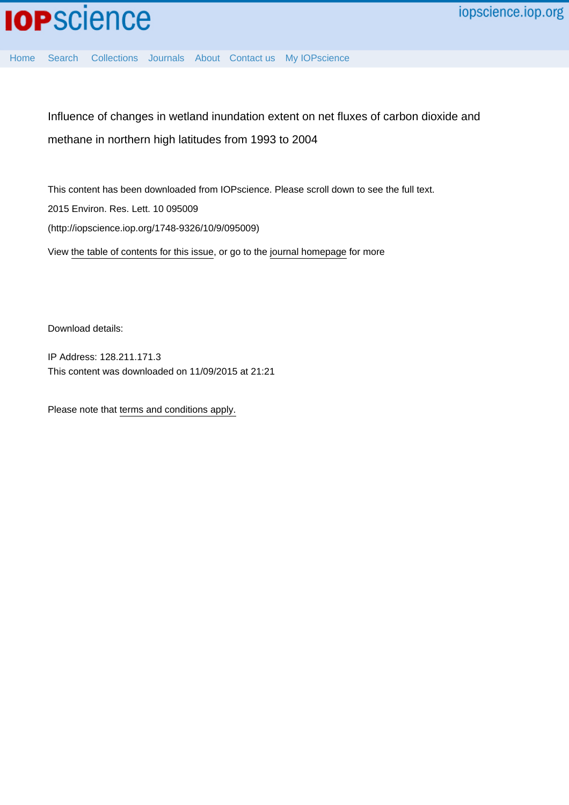

**IOP**science

[Home](http://iopscience.iop.org/) [Search](http://iopscience.iop.org/search) [Collections](http://iopscience.iop.org/collections) [Journals](http://iopscience.iop.org/journals) [About](http://iopscience.iop.org/page/aboutioppublishing) [Contact us](http://iopscience.iop.org/contact) [My IOPscience](http://iopscience.iop.org/myiopscience)

Influence of changes in wetland inundation extent on net fluxes of carbon dioxide and methane in northern high latitudes from 1993 to 2004

This content has been downloaded from IOPscience. Please scroll down to see the full text. View [the table of contents for this issue](http://iopscience.iop.org/1748-9326/10/9), or go to the [journal homepage](http://iopscience.iop.org/1748-9326) for more 2015 Environ. Res. Lett. 10 095009 (http://iopscience.iop.org/1748-9326/10/9/095009)

Download details:

IP Address: 128.211.171.3 This content was downloaded on 11/09/2015 at 21:21

Please note that [terms and conditions apply.](iopscience.iop.org/page/terms)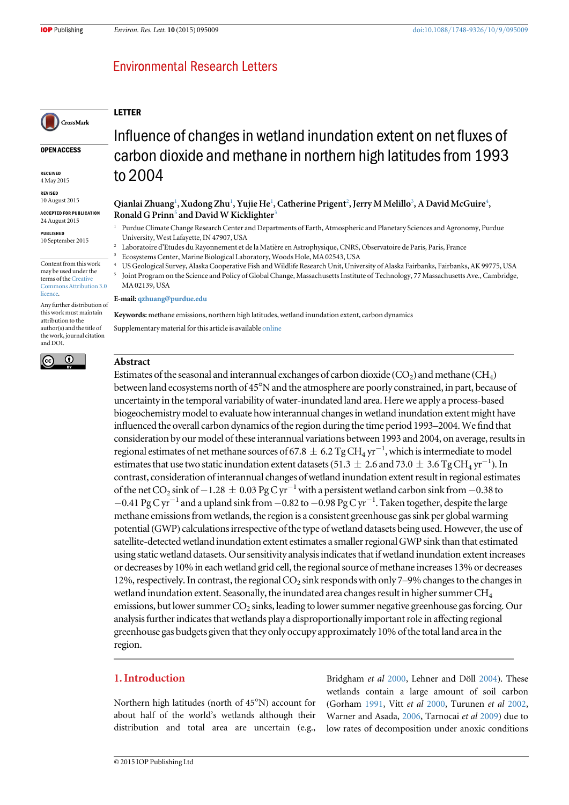LETTER

# **Environmental Research Letters**

# CrossMark

OPEN ACCESS

RECEIVED 4 May 2015

REVISED

10 August 2015 ACCEPTED FOR PUBLICATION

24 August 2015

PUBLISHED 10 September 2015

Content from this work may be used under the terms of the [Creative](http://creativecommons.org/licenses/by/3.0) [Commons Attribution 3.0](http://creativecommons.org/licenses/by/3.0) [licence.](http://creativecommons.org/licenses/by/3.0)

Any further distribution of this work must maintain attribution to the author(s) and the title of the work, journal citation and DOI.



# Influence of changes in wetland inundation extent on net fluxes of carbon dioxide and methane in northern high latitudes from 1993 to 2004

### Qianlai Zhuang<sup>1</sup>, Xudong Zhu<sup>1</sup>, Yujie He<sup>1</sup>, Catherine Prigent<sup>2</sup>, Jerry M Melillo<sup>3</sup>, A David McGuire<sup>4</sup>, Ronald G Prinn<sup>5</sup> and David W Kicklighter<sup>3</sup>

<sup>1</sup> Purdue Climate Change Research Center and Departments of Earth, Atmospheric and Planetary Sciences and Agronomy, Purdue University, West Lafayette, IN 47907, USA

- <sup>2</sup> Laboratoire d'Etudes du Rayonnement et de la Matière en Astrophysique, CNRS, Observatoire de Paris, Paris, France
- <sup>3</sup> Ecosystems Center, Marine Biological Laboratory, Woods Hole, MA 02543, USA
- <sup>4</sup> US Geological Survey, Alaska Cooperative Fish and Wildlife Research Unit, University of Alaska Fairbanks, Fairbanks, AK 99775, USA
- <sup>5</sup> Joint Program on the Science and Policy of Global Change, Massachusetts Institute of Technology, 77 Massachusetts Ave., Cambridge, MA 02139, USA

#### E-mail: [qzhuang@purdue.edu](mailto:qzhuang@purdue.edu)

Keywords: methane emissions, northern high latitudes, wetland inundation extent, carbon dynamics Supplementary material for this article is available [online](http://dx.doi.org/10.1088/1748-9326/10/9/095009)

# Abstract

Estimates of the seasonal and interannual exchanges of carbon dioxide  $(CO<sub>2</sub>)$  and methane  $(CH<sub>4</sub>)$ between land ecosystems north of 45°N and the atmosphere are poorly constrained, in part, because of uncertainty in the temporal variability of water-inundated land area. Here we apply a process-based biogeochemistry model to evaluate how interannual changes in wetland inundation extent might have influenced the overall carbon dynamics of the region during the time period 1993–2004.We find that consideration by our model of these interannual variations between 1993 and 2004, on average, results in regional estimates of net methane sources of 67.8  $\pm$  6.2 Tg CH<sub>4</sub> yr<sup>-1</sup>, which is intermediate to model estimates that use two static inundation extent datasets (51.3  $\pm$  2.6 and 73.0  $\pm$  3.6 Tg CH<sub>4</sub> yr<sup>-1</sup>). In contrast, consideration of interannual changes of wetland inundation extent result in regional estimates of the net CO<sub>2</sub> sink of  $-1.28 \pm 0.03$  Pg C yr<sup>-1</sup> with a persistent wetland carbon sink from  $-0.38$  to −0.41 Pg C yr−<sup>1</sup> and a upland sink from −0.82 to−0.98 Pg C yr−<sup>1</sup> . Taken together, despite the large methane emissions from wetlands, the region is a consistent greenhouse gas sink per global warming potential(GWP) calculations irrespective of the type of wetland datasets being used. However, the use of satellite-detected wetland inundation extent estimates a smaller regional GWP sink than that estimated using static wetland datasets. Our sensitivity analysis indicates that if wetland inundation extent increases or decreases by 10% in each wetland grid cell, the regional source of methane increases 13% or decreases 12%, respectively. In contrast, the regional  $CO<sub>2</sub>$  sink responds with only 7–9% changes to the changes in wetland inundation extent. Seasonally, the inundated area changes result in higher summer CH<sub>4</sub> emissions, but lower summer  $CO<sub>2</sub>$  sinks, leading to lower summer negative greenhouse gas forcing. Our analysis further indicates that wetlands play a disproportionally important role in affecting regional greenhouse gas budgets given that they only occupy approximately 10% of the total land area in the region.

# 1. Introduction

Northern high latitudes (north of 45°N) account for about half of the world's wetlands although their distribution and total area are uncertain (e.g.,

Bridgham et al [2000,](#page-11-0) Lehner and Döll [2004](#page-12-0)). These wetlands contain a large amount of soil carbon (Gorham [1991,](#page-11-0) Vitt et al [2000,](#page-12-0) Turunen et al [2002](#page-12-0), Warner and Asada, [2006](#page-12-0), Tarnocai et al [2009](#page-12-0)) due to low rates of decomposition under anoxic conditions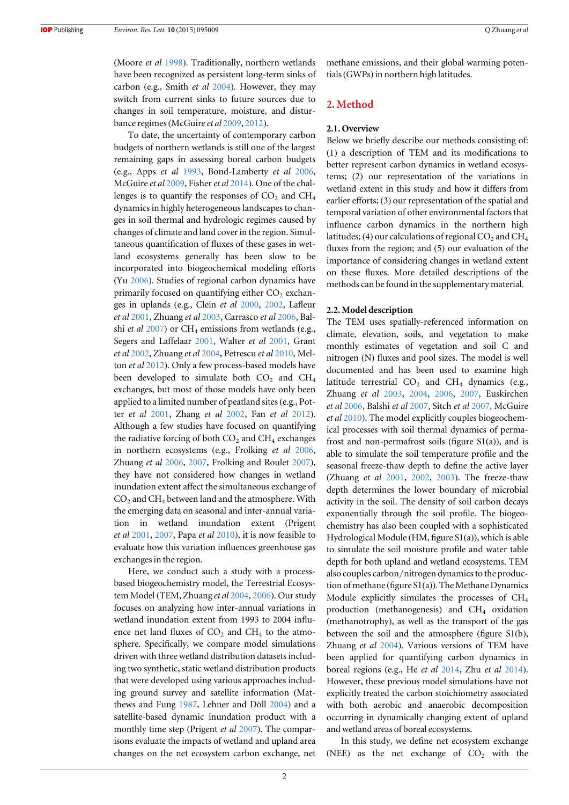(Moore et al [1998](#page-12-0)). Traditionally, northern wetlands have been recognized as persistent long-term sinks of carbon (e.g., Smith et al [2004](#page-12-0)). However, they may switch from current sinks to future sources due to changes in soil temperature, moisture, and disturbance regimes(McGuire et al [2009,](#page-12-0) [2012](#page-12-0)).

To date, the uncertainty of contemporary carbon budgets of northern wetlands is still one of the largest remaining gaps in assessing boreal carbon budgets (e.g., Apps et al [1993,](#page-11-0) Bond-Lamberty et al [2006,](#page-11-0) McGuire et al [2009](#page-12-0), Fisher et al [2014](#page-11-0)). One of the challenges is to quantify the responses of  $CO<sub>2</sub>$  and  $CH<sub>4</sub>$ dynamics in highly heterogeneous landscapes to changes in soil thermal and hydrologic regimes caused by changes of climate and land cover in the region. Simultaneous quantification of fluxes of these gases in wetland ecosystems generally has been slow to be incorporated into biogeochemical modeling efforts (Yu [2006](#page-12-0)). Studies of regional carbon dynamics have primarily focused on quantifying either  $CO<sub>2</sub>$  exchanges in uplands (e.g., Clein et al [2000,](#page-11-0) [2002](#page-11-0), Lafleur et al [2001](#page-12-0), Zhuang et al [2003,](#page-12-0) Carrasco et al [2006,](#page-11-0) Balshi et al  $2007$ ) or CH<sub>4</sub> emissions from wetlands (e.g., Segers and Laffelaar [2001](#page-12-0), Walter et al [2001,](#page-12-0) Grant et al [2002](#page-11-0), Zhuang et al [2004](#page-12-0), Petrescu et al [2010,](#page-12-0) Melton et al [2012](#page-12-0)). Only a few process-based models have been developed to simulate both  $CO<sub>2</sub>$  and  $CH<sub>4</sub>$ exchanges, but most of those models have only been applied to a limited number of peatland sites(e.g., Potter et al [2001,](#page-12-0) Zhang et al [2002](#page-12-0), Fan et al [2012](#page-11-0)). Although a few studies have focused on quantifying the radiative forcing of both  $CO<sub>2</sub>$  and  $CH<sub>4</sub>$  exchanges in northern ecosystems (e.g., Frolking et al [2006,](#page-11-0) Zhuang et al [2006,](#page-13-0) [2007](#page-12-0), Frolking and Roulet [2007](#page-11-0)), they have not considered how changes in wetland inundation extent affect the simultaneous exchange of  $CO<sub>2</sub>$  and  $CH<sub>4</sub>$  between land and the atmosphere. With the emerging data on seasonal and inter-annual variation in wetland inundation extent (Prigent et al  $2001$ ,  $2007$ , Papa et al  $2010$ ), it is now feasible to evaluate how this variation influences greenhouse gas exchanges in the region.

Here, we conduct such a study with a processbased biogeochemistry model, the Terrestrial Ecosystem Model (TEM, Zhuang et al [2004](#page-12-0), [2006](#page-13-0)). Our study focuses on analyzing how inter-annual variations in wetland inundation extent from 1993 to 2004 influence net land fluxes of  $CO<sub>2</sub>$  and  $CH<sub>4</sub>$  to the atmosphere. Specifically, we compare model simulations driven with three wetland distribution datasets including two synthetic, static wetland distribution products that were developed using various approaches including ground survey and satellite information (Matthews and Fung [1987](#page-12-0), Lehner and Döll [2004](#page-12-0)) and a satellite-based dynamic inundation product with a monthly time step (Prigent *et al* [2007](#page-12-0)). The comparisons evaluate the impacts of wetland and upland area changes on the net ecosystem carbon exchange, net methane emissions, and their global warming potentials(GWPs) in northern high latitudes.

# 2. Method

#### 2.1. Overview

Below we briefly describe our methods consisting of: (1) a description of TEM and its modifications to better represent carbon dynamics in wetland ecosystems; (2) our representation of the variations in wetland extent in this study and how it differs from earlier efforts; (3) our representation of the spatial and temporal variation of other environmental factors that influence carbon dynamics in the northern high latitudes; (4) our calculations of regional  $CO<sub>2</sub>$  and  $CH<sub>4</sub>$ fluxes from the region; and (5) our evaluation of the importance of considering changes in wetland extent on these fluxes. More detailed descriptions of the methods can be found in the supplementary material.

#### 2.2. Model description

The TEM uses spatially-referenced information on climate, elevation, soils, and vegetation to make monthly estimates of vegetation and soil C and nitrogen (N) fluxes and pool sizes. The model is well documented and has been used to examine high latitude terrestrial  $CO<sub>2</sub>$  and  $CH<sub>4</sub>$  dynamics (e.g., Zhuang et al [2003,](#page-12-0) [2004](#page-12-0), [2006](#page-13-0), [2007,](#page-12-0) Euskirchen et al [2006](#page-11-0), Balshi et al [2007,](#page-11-0) Sitch et al [2007](#page-12-0), McGuire et al [2010](#page-12-0)). The model explicitly couples biogeochemical processes with soil thermal dynamics of permafrost and non-permafrost soils (figure  $S1(a)$ ), and is able to simulate the soil temperature profile and the seasonal freeze-thaw depth to define the active layer (Zhuang et al [2001](#page-13-0), [2002,](#page-12-0) [2003](#page-12-0)). The freeze-thaw depth determines the lower boundary of microbial activity in the soil. The density of soil carbon decays exponentially through the soil profile. The biogeochemistry has also been coupled with a sophisticated Hydrological Module (HM, figure S1(a)), which is able to simulate the soil moisture profile and water table depth for both upland and wetland ecosystems. TEM also couples carbon/nitrogen dynamics to the production of methane (figure S1(a)). The Methane Dynamics Module explicitly simulates the processes of CH4 production (methanogenesis) and CH<sub>4</sub> oxidation (methanotrophy), as well as the transport of the gas between the soil and the atmosphere (figure S1(b), Zhuang et al [2004](#page-12-0)). Various versions of TEM have been applied for quantifying carbon dynamics in boreal regions (e.g., He et al [2014,](#page-12-0) Zhu et al [2014](#page-12-0)). However, these previous model simulations have not explicitly treated the carbon stoichiometry associated with both aerobic and anaerobic decomposition occurring in dynamically changing extent of upland and wetland areas of boreal ecosystems.

In this study, we define net ecosystem exchange (NEE) as the net exchange of  $CO<sub>2</sub>$  with the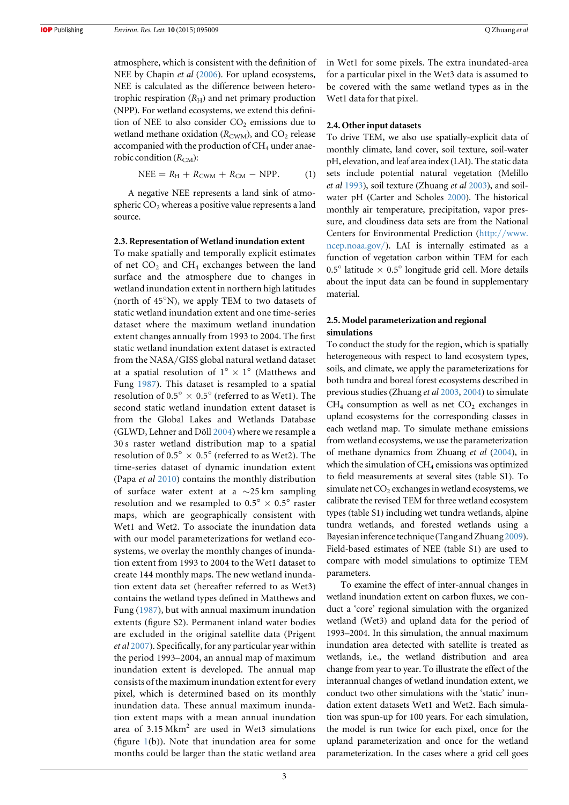<span id="page-3-0"></span>atmosphere, which is consistent with the definition of NEE by Chapin *et al* ([2006](#page-11-0)). For upland ecosystems, NEE is calculated as the difference between heterotrophic respiration  $(R_H)$  and net primary production (NPP). For wetland ecosystems, we extend this definition of NEE to also consider  $CO<sub>2</sub>$  emissions due to wetland methane oxidation  $(R_{\text{CWM}})$ , and  $CO_2$  release accompanied with the production of  $CH<sub>4</sub>$  under anaerobic condition  $(R<sub>CM</sub>)$ :

$$
NEE = RH + RCWM + RCM - NPP.
$$
 (1)

A negative NEE represents a land sink of atmospheric  $CO<sub>2</sub>$  whereas a positive value represents a land source.

#### 2.3. Representation of Wetland inundation extent

To make spatially and temporally explicit estimates of net  $CO<sub>2</sub>$  and  $CH<sub>4</sub>$  exchanges between the land surface and the atmosphere due to changes in wetland inundation extent in northern high latitudes (north of 45°N), we apply TEM to two datasets of static wetland inundation extent and one time-series dataset where the maximum wetland inundation extent changes annually from 1993 to 2004. The first static wetland inundation extent dataset is extracted from the NASA/GISS global natural wetland dataset at a spatial resolution of  $1^{\circ} \times 1^{\circ}$  (Matthews and Fung [1987](#page-12-0)). This dataset is resampled to a spatial resolution of 0.5°  $\times$  0.5° (referred to as Wet1). The second static wetland inundation extent dataset is from the Global Lakes and Wetlands Database (GLWD, Lehner and Döll [2004](#page-12-0)) where we resample a 30 s raster wetland distribution map to a spatial resolution of  $0.5^{\circ} \times 0.5^{\circ}$  (referred to as Wet2). The time-series dataset of dynamic inundation extent (Papa et al [2010](#page-12-0)) contains the monthly distribution of surface water extent at a ∼25 km sampling resolution and we resampled to  $0.5^{\circ} \times 0.5^{\circ}$  raster maps, which are geographically consistent with Wet1 and Wet2. To associate the inundation data with our model parameterizations for wetland ecosystems, we overlay the monthly changes of inundation extent from 1993 to 2004 to the Wet1 dataset to create 144 monthly maps. The new wetland inundation extent data set (hereafter referred to as Wet3) contains the wetland types defined in Matthews and Fung ([1987](#page-12-0)), but with annual maximum inundation extents (figure S2). Permanent inland water bodies are excluded in the original satellite data (Prigent et al [2007](#page-12-0)). Specifically, for any particular year within the period 1993–2004, an annual map of maximum inundation extent is developed. The annual map consists of the maximum inundation extent for every pixel, which is determined based on its monthly inundation data. These annual maximum inundation extent maps with a mean annual inundation area of  $3.15$  Mkm<sup>2</sup> are used in Wet3 simulations (figure  $1(b)$  $1(b)$ ). Note that inundation area for some months could be larger than the static wetland area

in Wet1 for some pixels. The extra inundated-area for a particular pixel in the Wet3 data is assumed to be covered with the same wetland types as in the Wet1 data for that pixel.

#### 2.4. Other input datasets

To drive TEM, we also use spatially-explicit data of monthly climate, land cover, soil texture, soil-water pH, elevation, and leaf area index (LAI). The static data sets include potential natural vegetation (Melillo et al [1993](#page-12-0)), soil texture (Zhuang et al [2003](#page-12-0)), and soilwater pH (Carter and Scholes [2000](#page-11-0)). The historical monthly air temperature, precipitation, vapor pressure, and cloudiness data sets are from the National Centers for Environmental Prediction (http://[www.](http://www.ncep.noaa.gov/) [ncep.noaa.gov](http://www.ncep.noaa.gov/)/). LAI is internally estimated as a function of vegetation carbon within TEM for each 0.5° latitude  $\times$  0.5° longitude grid cell. More details about the input data can be found in supplementary material.

### 2.5. Model parameterization and regional simulations

To conduct the study for the region, which is spatially heterogeneous with respect to land ecosystem types, soils, and climate, we apply the parameterizations for both tundra and boreal forest ecosystems described in previous studies (Zhuang et al [2003](#page-12-0), [2004](#page-12-0)) to simulate  $CH<sub>4</sub>$  consumption as well as net  $CO<sub>2</sub>$  exchanges in upland ecosystems for the corresponding classes in each wetland map. To simulate methane emissions from wetland ecosystems, we use the parameterization of methane dynamics from Zhuang et al ([2004](#page-12-0)), in which the simulation of  $CH_4$  emissions was optimized to field measurements at several sites (table S1). To simulate net  $CO<sub>2</sub>$  exchanges in wetland ecosystems, we calibrate the revised TEM for three wetland ecosystem types (table S1) including wet tundra wetlands, alpine tundra wetlands, and forested wetlands using a Bayesian inference technique (Tang and Zhuang [2009](#page-12-0)). Field-based estimates of NEE (table S1) are used to compare with model simulations to optimize TEM parameters.

To examine the effect of inter-annual changes in wetland inundation extent on carbon fluxes, we conduct a 'core' regional simulation with the organized wetland (Wet3) and upland data for the period of 1993–2004. In this simulation, the annual maximum inundation area detected with satellite is treated as wetlands, i.e., the wetland distribution and area change from year to year. To illustrate the effect of the interannual changes of wetland inundation extent, we conduct two other simulations with the 'static' inundation extent datasets Wet1 and Wet2. Each simulation was spun-up for 100 years. For each simulation, the model is run twice for each pixel, once for the upland parameterization and once for the wetland parameterization. In the cases where a grid cell goes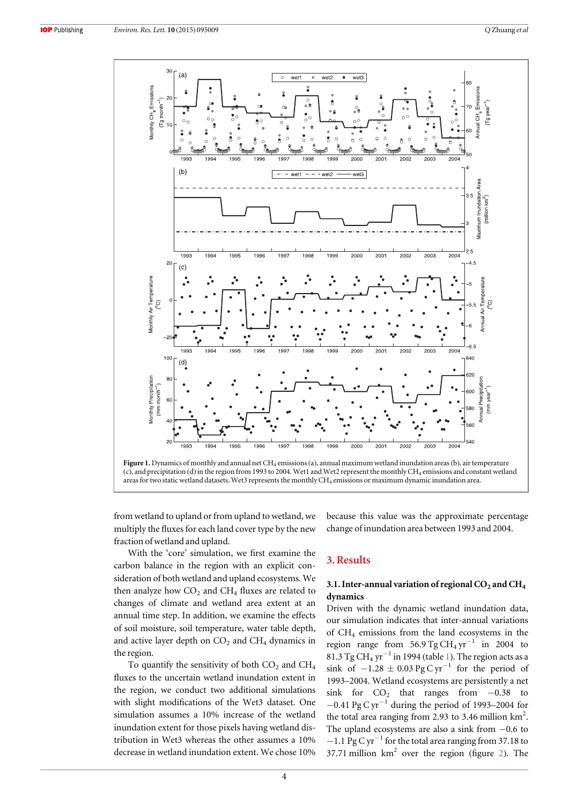<span id="page-4-0"></span>

from wetland to upland or from upland to wetland, we multiply the fluxes for each land cover type by the new fraction of wetland and upland.

With the 'core' simulation, we first examine the carbon balance in the region with an explicit consideration of both wetland and upland ecosystems. We then analyze how  $CO<sub>2</sub>$  and  $CH<sub>4</sub>$  fluxes are related to changes of climate and wetland area extent at an annual time step. In addition, we examine the effects of soil moisture, soil temperature, water table depth, and active layer depth on  $CO<sub>2</sub>$  and  $CH<sub>4</sub>$  dynamics in the region.

To quantify the sensitivity of both  $CO<sub>2</sub>$  and  $CH<sub>4</sub>$ fluxes to the uncertain wetland inundation extent in the region, we conduct two additional simulations with slight modifications of the Wet3 dataset. One simulation assumes a 10% increase of the wetland inundation extent for those pixels having wetland distribution in Wet3 whereas the other assumes a 10% decrease in wetland inundation extent. We chose 10% because this value was the approximate percentage change of inundation area between 1993 and 2004.

# 3. Results

# 3.1. Inter-annual variation of regional  $CO<sub>2</sub>$  and  $CH<sub>4</sub>$ dynamics

Driven with the dynamic wetland inundation data, our simulation indicates that inter-annual variations of CH4 emissions from the land ecosystems in the region range from 56.9 Tg CH<sub>4</sub> yr<sup>-1</sup> in 2004 to 8[1](#page-5-0).3 Tg CH<sub>4</sub> yr<sup> $-1$ </sup> in 1994 (table 1). The region acts as a sink of  $-1.28 \pm 0.03$  Pg C yr<sup>-1</sup> for the period of 1993–2004. Wetland ecosystems are persistently a net sink for  $CO<sub>2</sub>$  that ranges from  $-0.38$  to  $-0.41$  Pg C yr<sup>-1</sup> during the period of 1993–2004 for the total area ranging from 2.93 to 3.46 million  $\text{km}^2$ . The upland ecosystems are also a sink from −0.6 to −1.1 Pg C yr−<sup>1</sup> for the total area ranging from 37.18 to 37.71 million  $km^2$  $km^2$  over the region (figure 2). The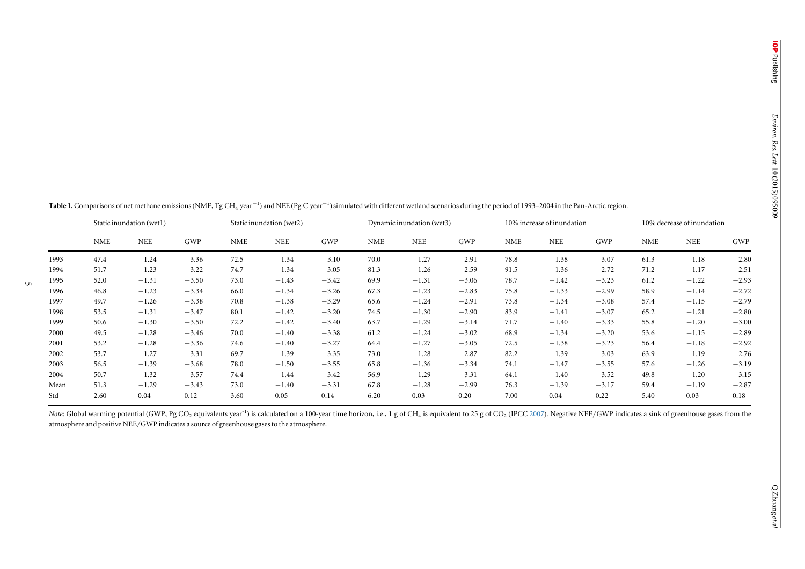<span id="page-5-0"></span>

|  |  |  |  | Table 1. Comparisons of net methane emissions (NME, Tg CH4 year $^{-1}$ ) and NEE (Pg C year $^{-1}$ ) simulated with different wetland scenarios during the period of 1993–2004 in the Pan-Arctic region. |  |  |  |
|--|--|--|--|------------------------------------------------------------------------------------------------------------------------------------------------------------------------------------------------------------|--|--|--|
|--|--|--|--|------------------------------------------------------------------------------------------------------------------------------------------------------------------------------------------------------------|--|--|--|

|      | Static inundation (wet1) |         |         | Static inundation (wet2) |            | Dynamic inundation (wet3) |            |            | 10% increase of inundation |            |            | 10% decrease of inundation |            |            |         |
|------|--------------------------|---------|---------|--------------------------|------------|---------------------------|------------|------------|----------------------------|------------|------------|----------------------------|------------|------------|---------|
|      | <b>NME</b>               | NEE     | GWP     | <b>NME</b>               | <b>NEE</b> | GWP                       | <b>NME</b> | <b>NEE</b> | GWP                        | <b>NME</b> | <b>NEE</b> | GWP                        | <b>NME</b> | <b>NEE</b> | GWP     |
| 1993 | 47.4                     | $-1.24$ | $-3.36$ | 72.5                     | $-1.34$    | $-3.10$                   | 70.0       | $-1.27$    | $-2.91$                    | 78.8       | $-1.38$    | $-3.07$                    | 61.3       | $-1.18$    | $-2.80$ |
| 1994 | 51.7                     | $-1.23$ | $-3.22$ | 74.7                     | $-1.34$    | $-3.05$                   | 81.3       | $-1.26$    | $-2.59$                    | 91.5       | $-1.36$    | $-2.72$                    | 71.2       | $-1.17$    | $-2.51$ |
| 1995 | 52.0                     | $-1.31$ | $-3.50$ | 73.0                     | $-1.43$    | $-3.42$                   | 69.9       | $-1.31$    | $-3.06$                    | 78.7       | $-1.42$    | $-3.23$                    | 61.2       | $-1.22$    | $-2.93$ |
| 1996 | 46.8                     | $-1.23$ | $-3.34$ | 66.0                     | $-1.34$    | $-3.26$                   | 67.3       | $-1.23$    | $-2.83$                    | 75.8       | $-1.33$    | $-2.99$                    | 58.9       | $-1.14$    | $-2.72$ |
| 1997 | 49.7                     | $-1.26$ | $-3.38$ | 70.8                     | $-1.38$    | $-3.29$                   | 65.6       | $-1.24$    | $-2.91$                    | 73.8       | $-1.34$    | $-3.08$                    | 57.4       | $-1.15$    | $-2.79$ |
| 1998 | 53.5                     | $-1.31$ | $-3.47$ | 80.1                     | $-1.42$    | $-3.20$                   | 74.5       | $-1.30$    | $-2.90$                    | 83.9       | $-1.41$    | $-3.07$                    | 65.2       | $-1.21$    | $-2.80$ |
| 1999 | 50.6                     | $-1.30$ | $-3.50$ | 72.2                     | $-1.42$    | $-3.40$                   | 63.7       | $-1.29$    | $-3.14$                    | 71.7       | $-1.40$    | $-3.33$                    | 55.8       | $-1.20$    | $-3.00$ |
| 2000 | 49.5                     | $-1.28$ | $-3.46$ | 70.0                     | $-1.40$    | $-3.38$                   | 61.2       | $-1.24$    | $-3.02$                    | 68.9       | $-1.34$    | $-3.20$                    | 53.6       | $-1.15$    | $-2.89$ |
| 2001 | 53.2                     | $-1.28$ | $-3.36$ | 74.6                     | $-1.40$    | $-3.27$                   | 64.4       | $-1.27$    | $-3.05$                    | 72.5       | $-1.38$    | $-3.23$                    | 56.4       | $-1.18$    | $-2.92$ |
| 2002 | 53.7                     | $-1.27$ | $-3.31$ | 69.7                     | $-1.39$    | $-3.35$                   | 73.0       | $-1.28$    | $-2.87$                    | 82.2       | $-1.39$    | $-3.03$                    | 63.9       | $-1.19$    | $-2.76$ |
| 2003 | 56.5                     | $-1.39$ | $-3.68$ | 78.0                     | $-1.50$    | $-3.55$                   | 65.8       | $-1.36$    | $-3.34$                    | 74.1       | $-1.47$    | $-3.55$                    | 57.6       | $-1.26$    | $-3.19$ |
| 2004 | 50.7                     | $-1.32$ | $-3.57$ | 74.4                     | $-1.44$    | $-3.42$                   | 56.9       | $-1.29$    | $-3.31$                    | 64.1       | $-1.40$    | $-3.52$                    | 49.8       | $-1.20$    | $-3.15$ |
| Mean | 51.3                     | $-1.29$ | $-3.43$ | 73.0                     | $-1.40$    | $-3.31$                   | 67.8       | $-1.28$    | $-2.99$                    | 76.3       | $-1.39$    | $-3.17$                    | 59.4       | $-1.19$    | $-2.87$ |
| Std  | 2.60                     | 0.04    | 0.12    | 3.60                     | 0.05       | 0.14                      | 6.20       | 0.03       | 0.20                       | 7.00       | 0.04       | 0.22                       | 5.40       | 0.03       | 0.18    |

Note: Global warming potential (GWP, Pg CO<sub>2</sub> equivalents year<sup>-1</sup>) is calculated on a 100-year time horizon, i.e., 1 g of CH<sub>4</sub> is equivalent to 25 g of CO<sub>2</sub> (IPCC [2007](#page-12-0)). Negative NEE/GWP indicates a sink of greenhouse g atmosphere and positive NEE/GWP indicates <sup>a</sup> source of greenhouse gases to the atmosphere.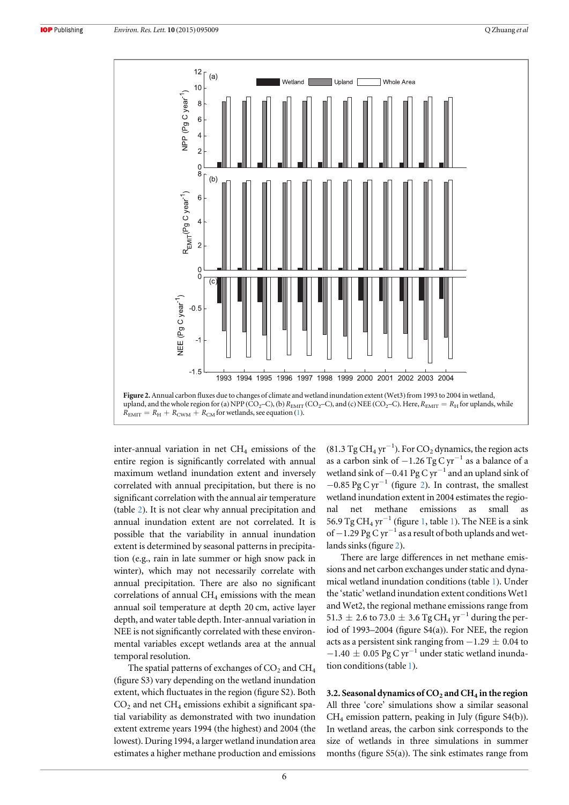<span id="page-6-0"></span>

inter-annual variation in net  $CH<sub>4</sub>$  emissions of the entire region is significantly correlated with annual maximum wetland inundation extent and inversely correlated with annual precipitation, but there is no significant correlation with the annual air temperature (table [2](#page-7-0)). It is not clear why annual precipitation and annual inundation extent are not correlated. It is possible that the variability in annual inundation extent is determined by seasonal patterns in precipitation (e.g., rain in late summer or high snow pack in winter), which may not necessarily correlate with annual precipitation. There are also no significant correlations of annual  $CH_4$  emissions with the mean annual soil temperature at depth 20 cm, active layer depth, and water table depth. Inter-annual variation in NEE is not significantly correlated with these environmental variables except wetlands area at the annual temporal resolution.

The spatial patterns of exchanges of  $CO<sub>2</sub>$  and  $CH<sub>4</sub>$ (figure S3) vary depending on the wetland inundation extent, which fluctuates in the region (figure S2). Both  $CO<sub>2</sub>$  and net  $CH<sub>4</sub>$  emissions exhibit a significant spatial variability as demonstrated with two inundation extent extreme years 1994 (the highest) and 2004 (the lowest). During 1994, a larger wetland inundation area estimates a higher methane production and emissions

(81.3 Tg CH<sub>4</sub> yr<sup>-1</sup>). For CO<sub>2</sub> dynamics, the region acts as a carbon sink of  $-1.26$  Tg C yr<sup>-1</sup> as a balance of a wetland sink of  $-0.41$  Pg C yr<sup>-1</sup> and an upland sink of  $-0.85$  Pg C yr<sup>-1</sup> (figure 2). In contrast, the smallest wetland inundation extent in 2004 estimates the regional net methane emissions as small as 56.9 Tg CH<sub>4</sub> yr<sup> $-1$  $-1$ </sup> (figure 1, table 1). The NEE is a sink of −1.29 Pg C yr<sup>-1</sup> as a result of both uplands and wetlands sinks(figure 2).

There are large differences in net methane emissions and net carbon exchanges under static and dynamical wetland inundation conditions (table [1](#page-5-0)). Under the 'static' wetland inundation extent conditions Wet1 and Wet2, the regional methane emissions range from 51.3 ± 2.6 to 73.0 ± 3.6 Tg CH<sub>4</sub> yr<sup>-1</sup> during the period of 1993–2004 (figure S4(a)). For NEE, the region acts as a persistent sink ranging from  $-1.29 \pm 0.04$  to  $-1.40 \pm 0.05$  Pg C yr<sup>-1</sup> under static wetland inundation conditions(table [1](#page-5-0)).

3.2. Seasonal dynamics of  $CO<sub>2</sub>$  and  $CH<sub>4</sub>$  in the region All three 'core' simulations show a similar seasonal CH4 emission pattern, peaking in July (figure S4(b)). In wetland areas, the carbon sink corresponds to the size of wetlands in three simulations in summer months (figure S5(a)). The sink estimates range from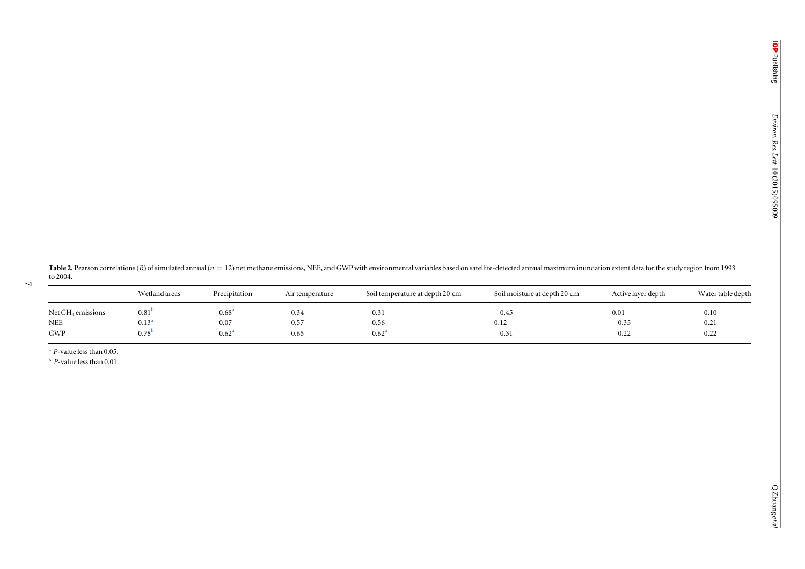<span id="page-7-0"></span>Table 2. Pearson correlations (R) of simulated annual ( $n = 12$ ) net methane emissions, NEE, and GWP with environmental variables based on satellite-detected annual maximum inundation extent data for the study region from to 2004.

|                                             | Wetland areas                         | Precipitation              | Air temperature    | Soil temperature at depth 20 cm | Soil moisture at depth 20 cm | Active layer depth | Water table depth  |
|---------------------------------------------|---------------------------------------|----------------------------|--------------------|---------------------------------|------------------------------|--------------------|--------------------|
| Net CH <sub>4</sub> emissions<br><b>NEE</b> | $0.81$ <sup>t</sup><br>$0.13^{\circ}$ | $-0.68^{\rm a}$<br>$-0.07$ | $-0.34$<br>$-0.57$ | $-0.31$<br>$-0.56$              | $-0.45$                      | 0.01<br>$-0.35$    | $-0.10$            |
| GWP                                         | $0.78^{b}$                            | $-0.62^{\rm a}$            | $-0.65$            | $-0.62^a$                       | 0.12<br>$-0.31$              | $-0.22$            | $-0.21$<br>$-0.22$ |

<sup>a</sup> P-value less than 0.05.

 $\overline{\phantom{0}}$ 

 $b$  P-value less than 0.01.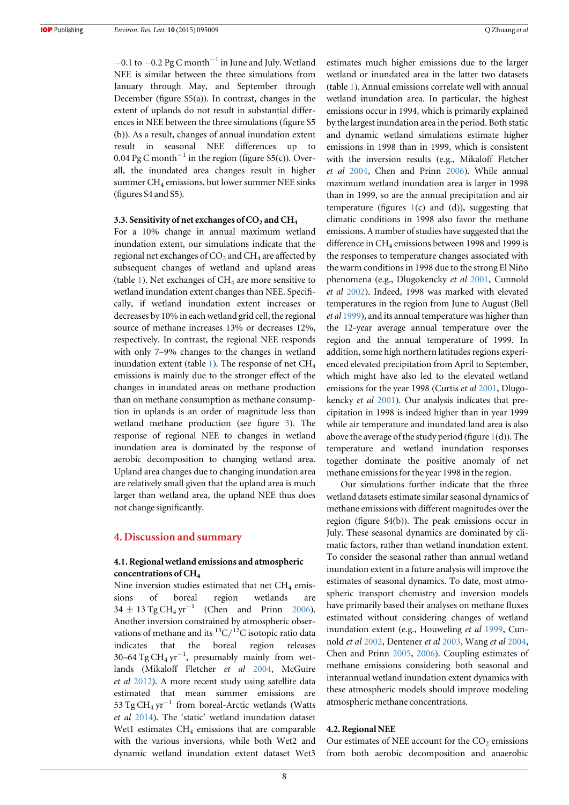$-0.1$  to  $-0.2$  Pg C month<sup>-1</sup> in June and July. Wetland NEE is similar between the three simulations from January through May, and September through December (figure S5(a)). In contrast, changes in the extent of uplands do not result in substantial differences in NEE between the three simulations (figure S5 (b)). As a result, changes of annual inundation extent result in seasonal NEE differences up to 0.04 Pg C month<sup>-1</sup> in the region (figure S5(c)). Overall, the inundated area changes result in higher summer CH<sub>4</sub> emissions, but lower summer NEE sinks (figures S4 and S5).

#### 3.3. Sensitivity of net exchanges of  $CO<sub>2</sub>$  and  $CH<sub>4</sub>$

For a 10% change in annual maximum wetland inundation extent, our simulations indicate that the regional net exchanges of  $CO<sub>2</sub>$  and  $CH<sub>4</sub>$  are affected by subsequent changes of wetland and upland areas (table [1](#page-5-0)). Net exchanges of  $CH<sub>4</sub>$  are more sensitive to wetland inundation extent changes than NEE. Specifically, if wetland inundation extent increases or decreases by 10% in each wetland grid cell, the regional source of methane increases 13% or decreases 12%, respectively. In contrast, the regional NEE responds with only 7–9% changes to the changes in wetland inundation extent (table [1](#page-5-0)). The response of net  $CH<sub>4</sub>$ emissions is mainly due to the stronger effect of the changes in inundated areas on methane production than on methane consumption as methane consumption in uplands is an order of magnitude less than wetland methane production (see figure [3](#page-9-0)). The response of regional NEE to changes in wetland inundation area is dominated by the response of aerobic decomposition to changing wetland area. Upland area changes due to changing inundation area are relatively small given that the upland area is much larger than wetland area, the upland NEE thus does not change significantly.

## 4. Discussion and summary

### 4.1. Regional wetland emissions and atmospheric concentrations of CH<sub>4</sub>

Nine inversion studies estimated that net  $CH<sub>4</sub>$  emissions of boreal region wetlands are  $34 \pm 13$  Tg CH<sub>4</sub> yr<sup>-1</sup> (Chen and Prinn [2006](#page-11-0)). Another inversion constrained by atmospheric observations of methane and its  ${}^{13}C/{}^{12}C$  isotopic ratio data indicates that the boreal region releases 30–64 Tg CH<sub>4</sub> yr<sup>-1</sup>, presumably mainly from wetlands (Mikaloff Fletcher et al [2004,](#page-12-0) McGuire et al [2012](#page-12-0)). A more recent study using satellite data estimated that mean summer emissions are 53 Tg CH<sub>4</sub> yr<sup>-1</sup> from boreal-Arctic wetlands (Watts et al [2014](#page-12-0)). The 'static' wetland inundation dataset Wet1 estimates  $CH<sub>4</sub>$  emissions that are comparable with the various inversions, while both Wet2 and dynamic wetland inundation extent dataset Wet3 estimates much higher emissions due to the larger wetland or inundated area in the latter two datasets (table [1](#page-5-0)). Annual emissions correlate well with annual wetland inundation area. In particular, the highest emissions occur in 1994, which is primarily explained by the largest inundation area in the period. Both static and dynamic wetland simulations estimate higher emissions in 1998 than in 1999, which is consistent with the inversion results (e.g., Mikaloff Fletcher et al [2004,](#page-12-0) Chen and Prinn [2006](#page-11-0)). While annual maximum wetland inundation area is larger in 1998 than in 1999, so are the annual precipitation and air temperature (figures  $1(c)$  $1(c)$  and (d)), suggesting that climatic conditions in 1998 also favor the methane emissions. A number of studies have suggested that the difference in  $CH_4$  emissions between 1998 and 1999 is the responses to temperature changes associated with the warm conditions in 1998 due to the strong El Niño phenomena (e.g., Dlugokencky et al [2001](#page-11-0), Cunnold et al [2002](#page-11-0)). Indeed, 1998 was marked with elevated temperatures in the region from June to August (Bell et al [1999](#page-11-0)), and its annual temperature was higher than the 12-year average annual temperature over the region and the annual temperature of 1999. In addition, some high northern latitudes regions experienced elevated precipitation from April to September, which might have also led to the elevated wetland emissions for the year 1998 (Curtis et al [2001,](#page-11-0) Dlugokencky et al [2001](#page-11-0)). Our analysis indicates that precipitation in 1998 is indeed higher than in year 1999 while air temperature and inundated land area is also above the average of the study period (figure  $1(d)$  $1(d)$ ). The temperature and wetland inundation responses together dominate the positive anomaly of net methane emissions for the year 1998 in the region.

Our simulations further indicate that the three wetland datasets estimate similar seasonal dynamics of methane emissions with different magnitudes over the region (figure S4(b)). The peak emissions occur in July. These seasonal dynamics are dominated by climatic factors, rather than wetland inundation extent. To consider the seasonal rather than annual wetland inundation extent in a future analysis will improve the estimates of seasonal dynamics. To date, most atmospheric transport chemistry and inversion models have primarily based their analyses on methane fluxes estimated without considering changes of wetland inundation extent (e.g., Houweling et al [1999](#page-12-0), Cunnold et al [2002,](#page-11-0) Dentener et al [2003](#page-11-0), Wang et al [2004](#page-12-0), Chen and Prinn [2005](#page-11-0), [2006](#page-11-0)). Coupling estimates of methane emissions considering both seasonal and interannual wetland inundation extent dynamics with these atmospheric models should improve modeling atmospheric methane concentrations.

#### 4.2. Regional NEE

Our estimates of NEE account for the  $CO<sub>2</sub>$  emissions from both aerobic decomposition and anaerobic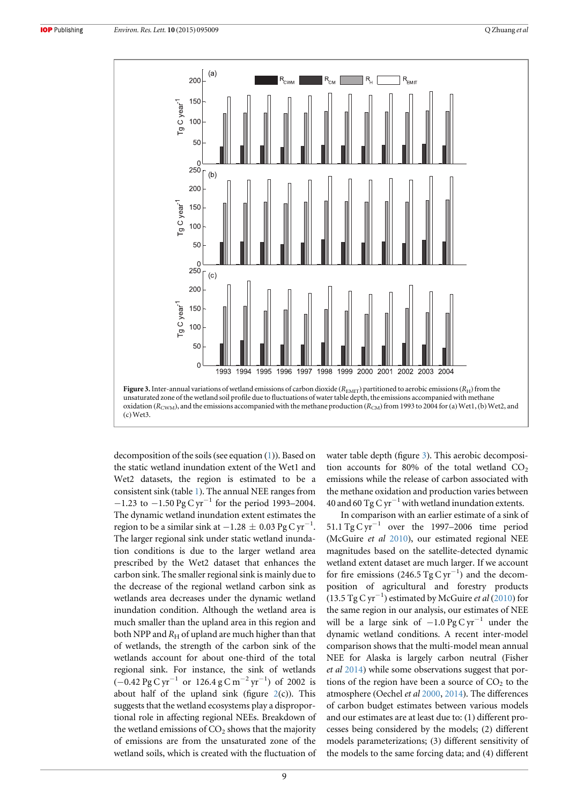<span id="page-9-0"></span>

decomposition of the soils (see equation ([1](#page-3-0))). Based on the static wetland inundation extent of the Wet1 and Wet2 datasets, the region is estimated to be a consistent sink (table [1](#page-5-0)). The annual NEE ranges from −1.23 to −1.50 Pg C yr−<sup>1</sup> for the period 1993–2004. The dynamic wetland inundation extent estimates the region to be a similar sink at  $-1.28 \pm 0.03$  Pg C yr<sup>-1</sup>. The larger regional sink under static wetland inundation conditions is due to the larger wetland area prescribed by the Wet2 dataset that enhances the carbon sink. The smaller regional sink is mainly due to the decrease of the regional wetland carbon sink as wetlands area decreases under the dynamic wetland inundation condition. Although the wetland area is much smaller than the upland area in this region and both NPP and  $R_H$  of upland are much higher than that of wetlands, the strength of the carbon sink of the wetlands account for about one-third of the total regional sink. For instance, the sink of wetlands  $(-0.42 \text{ pg C yr}^{-1} \text{ or } 126.4 \text{ g C m}^{-2} \text{ yr}^{-1}) \text{ of } 2002 \text{ is}$ about half of the upland sink (figure  $2(c)$  $2(c)$ ). This suggests that the wetland ecosystems play a disproportional role in affecting regional NEEs. Breakdown of the wetland emissions of  $CO<sub>2</sub>$  shows that the majority of emissions are from the unsaturated zone of the wetland soils, which is created with the fluctuation of water table depth (figure 3). This aerobic decomposition accounts for 80% of the total wetland  $CO<sub>2</sub>$ emissions while the release of carbon associated with the methane oxidation and production varies between 40 and 60 Tg C  $yr^{-1}$  with wetland inundation extents.

In comparison with an earlier estimate of a sink of 51.1 Tg C yr<sup>-1</sup> over the 1997–2006 time period (McGuire et al [2010](#page-12-0)), our estimated regional NEE magnitudes based on the satellite-detected dynamic wetland extent dataset are much larger. If we account for fire emissions (246.5 Tg C  $\text{yr}^{-1}$ ) and the decomposition of agricultural and forestry products (13.5 Tg C yr−<sup>1</sup> ) estimated by McGuire et al ([2010](#page-12-0)) for the same region in our analysis, our estimates of NEE will be a large sink of  $-1.0$  Pg C yr<sup>-1</sup> under the dynamic wetland conditions. A recent inter-model comparison shows that the multi-model mean annual NEE for Alaska is largely carbon neutral (Fisher et al [2014](#page-11-0)) while some observations suggest that portions of the region have been a source of  $CO<sub>2</sub>$  to the atmosphere (Oechel et al [2000,](#page-12-0) [2014](#page-12-0)). The differences of carbon budget estimates between various models and our estimates are at least due to: (1) different processes being considered by the models; (2) different models parameterizations; (3) different sensitivity of the models to the same forcing data; and (4) different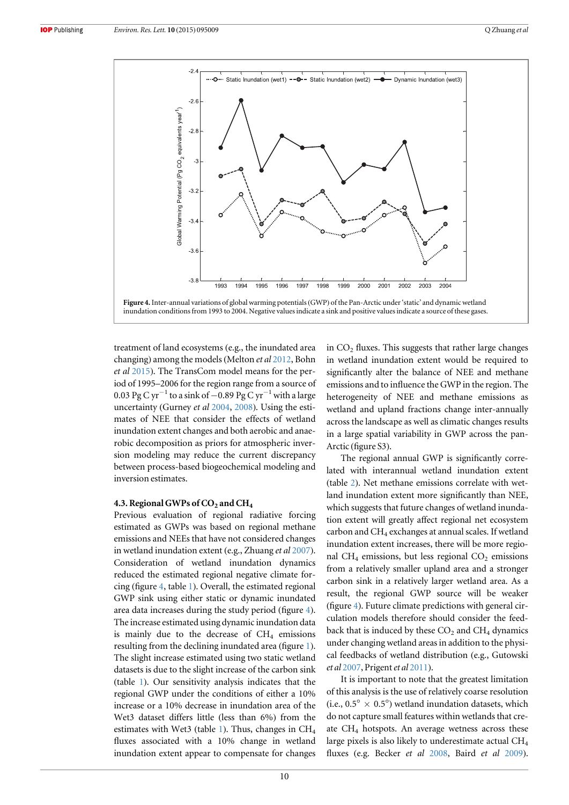

treatment of land ecosystems (e.g., the inundated area changing) among the models (Melton et al [2012,](#page-12-0) Bohn et al [2015](#page-11-0)). The TransCom model means for the period of 1995–2006 for the region range from a source of 0.03 Pg C yr<sup>-1</sup> to a sink of −0.89 Pg C yr<sup>-1</sup> with a large uncertainty (Gurney et al [2004](#page-11-0), [2008](#page-12-0)). Using the estimates of NEE that consider the effects of wetland inundation extent changes and both aerobic and anaerobic decomposition as priors for atmospheric inversion modeling may reduce the current discrepancy between process-based biogeochemical modeling and inversion estimates.

#### 4.3. Regional GWPs of  $CO<sub>2</sub>$  and  $CH<sub>4</sub>$

Previous evaluation of regional radiative forcing estimated as GWPs was based on regional methane emissions and NEEs that have not considered changes in wetland inundation extent (e.g., Zhuang et al [2007](#page-12-0)). Consideration of wetland inundation dynamics reduced the estimated regional negative climate forcing (figure 4, table [1](#page-5-0)). Overall, the estimated regional GWP sink using either static or dynamic inundated area data increases during the study period (figure 4). The increase estimated using dynamic inundation data is mainly due to the decrease of  $CH<sub>4</sub>$  emissions resulting from the declining inundated area (figure [1](#page-4-0)). The slight increase estimated using two static wetland datasets is due to the slight increase of the carbon sink (table [1](#page-5-0)). Our sensitivity analysis indicates that the regional GWP under the conditions of either a 10% increase or a 10% decrease in inundation area of the Wet3 dataset differs little (less than 6%) from the estimates with Wet3 (table [1](#page-5-0)). Thus, changes in  $CH<sub>4</sub>$ fluxes associated with a 10% change in wetland inundation extent appear to compensate for changes in  $CO<sub>2</sub>$  fluxes. This suggests that rather large changes in wetland inundation extent would be required to significantly alter the balance of NEE and methane emissions and to influence the GWP in the region. The heterogeneity of NEE and methane emissions as wetland and upland fractions change inter-annually across the landscape as well as climatic changes results in a large spatial variability in GWP across the pan-Arctic (figure S3).

The regional annual GWP is significantly correlated with interannual wetland inundation extent (table [2](#page-7-0)). Net methane emissions correlate with wetland inundation extent more significantly than NEE, which suggests that future changes of wetland inundation extent will greatly affect regional net ecosystem carbon and CH4 exchanges at annual scales. If wetland inundation extent increases, there will be more regional CH<sub>4</sub> emissions, but less regional CO<sub>2</sub> emissions from a relatively smaller upland area and a stronger carbon sink in a relatively larger wetland area. As a result, the regional GWP source will be weaker (figure 4). Future climate predictions with general circulation models therefore should consider the feedback that is induced by these  $CO<sub>2</sub>$  and  $CH<sub>4</sub>$  dynamics under changing wetland areas in addition to the physical feedbacks of wetland distribution (e.g., Gutowski et al [2007,](#page-12-0) Prigent et al [2011](#page-12-0)).

It is important to note that the greatest limitation of this analysis is the use of relatively coarse resolution (i.e.,  $0.5^{\circ} \times 0.5^{\circ}$ ) wetland inundation datasets, which do not capture small features within wetlands that create  $CH<sub>4</sub>$  hotspots. An average wetness across these large pixels is also likely to underestimate actual CH4 fluxes (e.g. Becker et al [2008,](#page-11-0) Baird et al [2009](#page-11-0)).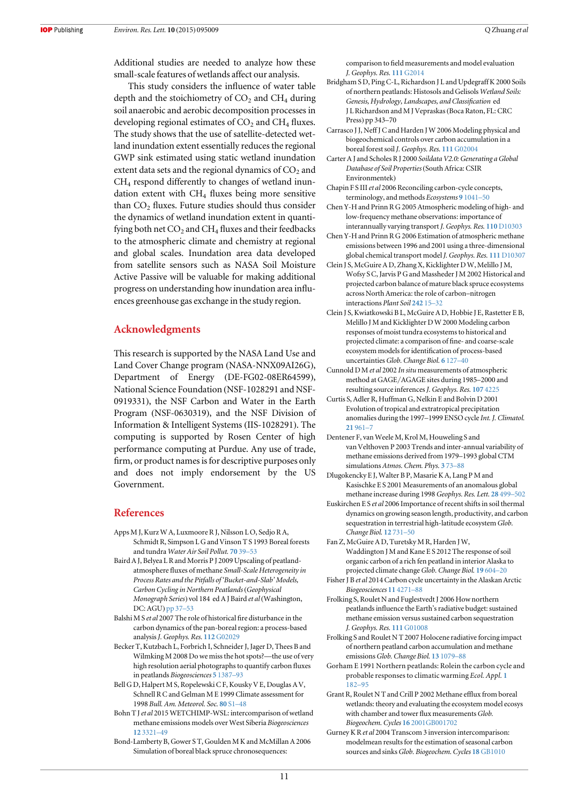<span id="page-11-0"></span>Additional studies are needed to analyze how these small-scale features of wetlands affect our analysis.

This study considers the influence of water table depth and the stoichiometry of  $CO<sub>2</sub>$  and  $CH<sub>4</sub>$  during soil anaerobic and aerobic decomposition processes in developing regional estimates of  $CO<sub>2</sub>$  and  $CH<sub>4</sub>$  fluxes. The study shows that the use of satellite-detected wetland inundation extent essentially reduces the regional GWP sink estimated using static wetland inundation extent data sets and the regional dynamics of  $CO<sub>2</sub>$  and CH4 respond differently to changes of wetland inundation extent with  $CH<sub>4</sub>$  fluxes being more sensitive than  $CO<sub>2</sub>$  fluxes. Future studies should thus consider the dynamics of wetland inundation extent in quantifying both net  $CO<sub>2</sub>$  and  $CH<sub>4</sub>$  fluxes and their feedbacks to the atmospheric climate and chemistry at regional and global scales. Inundation area data developed from satellite sensors such as NASA Soil Moisture Active Passive will be valuable for making additional progress on understanding how inundation area influences greenhouse gas exchange in the study region.

# Acknowledgments

This research is supported by the NASA Land Use and Land Cover Change program (NASA-NNX09AI26G), Department of Energy (DE-FG02-08ER64599), National Science Foundation (NSF-1028291 and NSF-0919331), the NSF Carbon and Water in the Earth Program (NSF-0630319), and the NSF Division of Information & Intelligent Systems (IIS-1028291). The computing is supported by Rosen Center of high performance computing at Purdue. Any use of trade, firm, or product names is for descriptive purposes only and does not imply endorsement by the US Government.

#### **References**

- Apps M J, Kurz W A, Luxmoore R J, Nilsson L O, Sedjo R A, Schmidt R, Simpson L G and Vinson T S 1993 Boreal forests and tundra Water Air Soil Pollut. [70](http://dx.doi.org/10.1007/BF01104987) 39–53
- Baird A J, Belyea L R and Morris P J 2009 Upscaling of peatlandatmosphere fluxes of methane Small-Scale Heterogeneity in Process Rates and the Pitfalls of 'Bucket-and-Slab' Models, Carbon Cycling in Northern Peatlands (Geophysical Monograph Series) vol 184 ed A J Baird et al(Washington, DC: AGU) [pp 37](http://dx.doi.org/10.1029/2008GM000826)–53
- Balshi M S et al 2007 The role of historical fire disturbance in the carbon dynamics of the pan-boreal region: a process-based analysis *J. Geophys. Res.* 112 [G02029](http://dx.doi.org/10.1029/2006JG000380)
- Becker T, Kutzbach L, Forbrich I, Schneider J, Jager D, Thees B and Wilmking M 2008 Do we miss the hot spots?—the use of very high resolution aerial photographs to quantify carbon fluxes in peatlands Biogeosciences 5 [1387](http://dx.doi.org/10.5194/bg-5-1387-2008)–93
- Bell G D, Halpert M S, Ropelewski C F, Kousky V E, Douglas A V, Schnell R C and Gelman M E 1999 Climate assessment for 1998 Bull. Am. Meteorol. Soc. [80](http://dx.doi.org/10.1175/1520-0477(1999)080<1040:CAF>2.0.CO;2) S1–48
- Bohn T J et al 2015 WETCHIMP-WSL: intercomparison of wetland methane emissions models over West Siberia Biogeosciences 12 [3321](http://dx.doi.org/10.5194/bg-12-3321-2015)–49
- Bond-Lamberty B, Gower S T, Goulden M K and McMillan A 2006 Simulation of boreal black spruce chronosequences:

comparison to field measurements and model evaluation J. Geophys. Res. 111[G2014](http://dx.doi.org/10.1029/2005JG000123)

- Bridgham S D, Ping C-L, Richardson J L and Updegraff K 2000 Soils of northern peatlands: Histosols and Gelisols Wetland Soils: Genesis, Hydrology, Landscapes, and Classification ed J L Richardson and M J Vepraskas(Boca Raton, FL: CRC Press) pp 343–70
- Carrasco J J, Neff J C and Harden J W 2006 Modeling physical and biogeochemical controls over carbon accumulation in a boreal forest soil J. Geophys. Res. 111 [G02004](http://dx.doi.org/10.1029/2005JG000087)
- Carter A J and Scholes R J 2000 Soildata V2.0: Generating a Global Database of Soil Properties (South Africa: CSIR Environmentek)
- Chapin F S III et al 2006 Reconciling carbon-cycle concepts, terminology, and methods Ecosystems 9 [1041](http://dx.doi.org/10.1007/s10021-005-0105-7)–50
- Chen Y-H and Prinn R G 2005 Atmospheric modeling of high- and low-frequency methane observations: importance of interannually varying transport J. Geophys. Res. 110 [D10303](http://dx.doi.org/10.1029/2004JD005542)
- Chen Y-H and Prinn R G 2006 Estimation of atmospheric methane emissions between 1996 and 2001 using a three-dimensional global chemical transport model J. Geophys. Res. 111 [D10307](http://dx.doi.org/10.1029/2005JD006058)
- Clein J S, McGuire A D, Zhang X, Kicklighter D W, Melillo J M, Wofsy S C, Jarvis P G and Massheder J M 2002 Historical and projected carbon balance of mature black spruce ecosystems across North America: the role of carbon–nitrogen interactions Plant Soil [242](http://dx.doi.org/10.1023/A:1019673420225) 15–32
- Clein J S, Kwiatkowski B L, McGuire A D, Hobbie J E, Rastetter E B, Melillo J M and Kicklighter D W 2000 Modeling carbon responses of moist tundra ecosystems to historical and projected climate: a comparison of fine- and coarse-scale ecosystem models for identification of process-based uncertainties Glob. Change Biol. 6 [127](http://dx.doi.org/10.1046/j.1365-2486.2000.06009.x)-40
- Cunnold D M et al 2002 In situ measurements of atmospheric method at GAGE/AGAGE sites during 1985–2000 and resulting source inferences J. Geophys. Res. 107 [4225](http://dx.doi.org/10.1029/2001JD001226)
- Curtis S, Adler R, Huffman G, Nelkin E and Bolvin D 2001 Evolution of tropical and extratropical precipitation anomalies during the 1997–1999 ENSO cycle Int. J. Climatol. 21 [961](http://dx.doi.org/10.1002/joc.643)–7
- Dentener F, van Weele M, Krol M, Houweling S and van Velthoven P 2003 Trends and inter-annual variability of methane emissions derived from 1979–1993 global CTM simulations Atmos. Chem. Phys. 3 [73](http://dx.doi.org/10.5194/acp-3-73-2003)–88
- Dlugokencky E J, Walter B P, Masarie K A, Lang P M and Kasischke E S 2001 Measurements of an anomalous global methane increase during 1998Geophys. Res. Lett. 28 [499](http://dx.doi.org/10.1029/2000GL012119)–502
- Euskirchen E S et al 2006 Importance of recent shifts in soil thermal dynamics on growing season length, productivity, and carbon sequestration in terrestrial high-latitude ecosystem Glob. Change Biol. 12 [731](http://dx.doi.org/10.1111/j.1365-2486.2006.01113.x)–50
- Fan Z, McGuire A D, Turetsky M R, Harden J W, Waddington J M and Kane E S 2012 The response of soil organic carbon of a rich fen peatland in interior Alaska to projected climate change Glob. Change Biol. 19 [604](http://dx.doi.org/10.1111/gcb.12041)-20
- Fisher J B et al 2014 Carbon cycle uncertainty in the Alaskan Arctic Biogeosciences 11 [4271](http://dx.doi.org/10.5194/bg-11-4271-2014)–88
- Frolking S, Roulet N and Fuglestvedt J 2006 How northern peatlands influence the Earth's radiative budget: sustained methane emission versus sustained carbon sequestration J. Geophys. Res. 111[G01008](http://dx.doi.org/10.1029/2005JG000091)
- Frolking S and Roulet N T 2007 Holocene radiative forcing impact of northern peatland carbon accumulation and methane emissionsGlob. Change Biol. 13 [1079](http://dx.doi.org/10.1111/j.1365-2486.2007.01339.x)–88
- Gorham E 1991 Northern peatlands: Rolein the carbon cycle and probable responses to climatic warming Ecol. Appl. [1](http://dx.doi.org/10.2307/1941811) [182](http://dx.doi.org/10.2307/1941811)–95
- Grant R, Roulet N T and Crill P 2002 Methane efflux from boreal wetlands: theory and evaluating the ecosystem model ecosys with chamber and tower flux measurements Glob. Biogeochem. Cycles 16 [2001GB001702](http://dx.doi.org/10.1029/2001GB001702)
- Gurney K R et al 2004 Transcom 3 inversion intercomparison: modelmean results for the estimation of seasonal carbon sources and sinks Glob. Biogeochem. Cycles 18 [GB1010](http://dx.doi.org/10.1029/2003GB002111)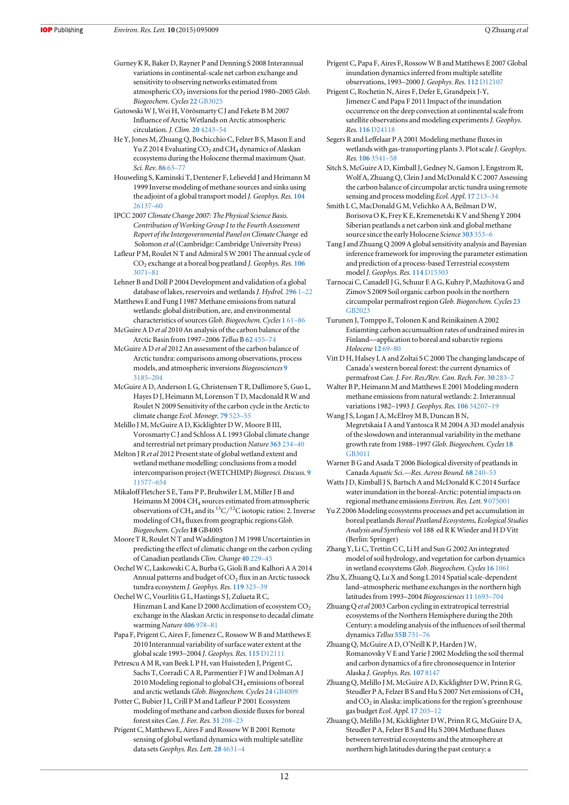<span id="page-12-0"></span>Gurney K R, Baker D, Rayner P and Denning S 2008 Interannual variations in continental-scale net carbon exchange and sensitivity to observing networks estimated from atmospheric  $CO<sub>2</sub>$  inversions for the period 1980–2005 Glob. Biogeochem. Cycles 22[GB3025](http://dx.doi.org/10.1029/2007GB003082)

Gutowski W J, Wei H, Vörösmarty C J and Fekete B M 2007 Influence of Arctic Wetlands on Arctic atmospheric circulation. J. Clim. 20 [4243](http://dx.doi.org/10.1175/JCLI4243.1)–54

He Y, Jones M, Zhuang Q, Bochicchio C, Felzer B S, Mason E and Yu Z 2014 Evaluating  $CO<sub>2</sub>$  and CH<sub>4</sub> dynamics of Alaskan ecosystems during the Holocene thermal maximum Quat. Sci. Rev. [86](http://dx.doi.org/10.1016/j.quascirev.2013.12.019) 63–77

Houweling S, Kaminski T, Dentener F, Lelieveld J and Heimann M 1999 Inverse modeling of methane sources and sinks using the adjoint of a global transport model J. Geophys. Res. [104](http://dx.doi.org/10.1029/1999JD900428) [26137](http://dx.doi.org/10.1029/1999JD900428)–60

- IPCC 2007 Climate Change 2007: The Physical Science Basis. Contribution of Working Group I to the Fourth Assessment Report of the Intergovernmental Panel on Climate Change ed Solomon et al(Cambridge: Cambridge University Press)
- Lafleur P M, Roulet N T and Admiral S W 2001 The annual cycle of  $\mathrm{CO}_2$  exchange at a boreal bog peatland J. Geophys. Res. [106](http://dx.doi.org/10.1029/2000JD900588) [3071](http://dx.doi.org/10.1029/2000JD900588)–81
- Lehner B and Döll P 2004 Development and validation of a global database of lakes, reservoirs and wetlands J. Hydrol. [296](http://dx.doi.org/10.1016/j.jhydrol.2004.03.028) 1-22
- Matthews E and Fung I 1987 Methane emissions from natural wetlands: global distribution, are, and environmental characteristics of sources Glob. Biogeochem. Cycles 1 [61](http://dx.doi.org/10.1029/GB001i001p00061)-86
- McGuire A D et al 2010 An analysis of the carbon balance of the Arctic Basin from 1997–2006 Tellus B 62 [455](http://dx.doi.org/10.1111/j.1600-0889.2010.00497.x)–74
- McGuire A D et al 2012 An assessment of the carbon balance of Arctic tundra: comparisons among observations, process models, and atmospheric inversions Biogeosciences [9](http://dx.doi.org/10.5194/bg-9-3185-2012) [3185](http://dx.doi.org/10.5194/bg-9-3185-2012)–204
- McGuire A D, Anderson L G, Christensen T R, Dallimore S, Guo L, Hayes D J, Heimann M, Lorenson T D, Macdonald R W and Roulet N 2009 Sensitivity of the carbon cycle in the Arctic to climate change Ecol. Monogr. 79 [523](http://dx.doi.org/10.1890/08-2025.1)–55
- Melillo J M, McGuire A D, Kicklighter D W, Moore B III, Vorosmarty C J and Schloss A L 1993 Global climate change and terrestrial net primary production Nature [363](http://dx.doi.org/10.1038/363234a0) 234–40
- Melton J R et al 2012 Present state of global wetland extent and wetland methane modelling: conclusions from a model intercomparison project (WETCHIMP) Biogeosci. Discuss. [9](http://dx.doi.org/10.5194/bgd-9-11577-2012) [11577](http://dx.doi.org/10.5194/bgd-9-11577-2012)–654
- Mikaloff Fletcher S E, Tans P P, Bruhwiler L M, Miller J B and Heimann M 2004 CH<sub>4</sub> sources estimated from atmospheric observations of CH<sub>4</sub> and its <sup>13</sup>C/<sup>12</sup>C isotopic ratios: 2. Inverse modeling of CH<sub>4</sub> fluxes from geographic regions Glob. Biogeochem. Cycles 18GB4005
- Moore T R, Roulet N T and Waddington J M 1998 Uncertainties in predicting the effect of climatic change on the carbon cycling of Canadian peatlands Clim. Change 40 [229](http://dx.doi.org/10.1023/A:1005408719297)–45
- Oechel W C, Laskowski C A, Burba G, Gioli B and Kalhori A A 2014 Annual patterns and budget of  $CO<sub>2</sub>$  flux in an Arctic tussock tundra ecosystem J. Geophys. Res. [119](http://dx.doi.org/10.1002/2013JG002431) 323–39
- Oechel W C, Vourlitis G L, Hastings S J, Zulueta R C, Hinzman L and Kane D 2000 Acclimation of ecosystem CO<sub>2</sub> exchange in the Alaskan Arctic in response to decadal climate warming Nature [406](http://dx.doi.org/10.1038/35023137) 978–81
- Papa F, Prigent C, Aires F, Jimenez C, Rossow W B and Matthews E 2010 Interannual variability of surface water extent at the global scale 1993–2004 J. Geophys. Res. 115 [D12111](http://dx.doi.org/10.1029/2009JD012674)
- Petrescu A M R, van Beek L P H, van Huissteden J, Prigent C, Sachs T, Corradi C A R, Parmentier F J W and Dolman A J 2010 Modeling regional to global CH4 emissions of boreal and arctic wetlands Glob. Biogeochem. Cycles 24 [GB4009](http://dx.doi.org/10.1029/2009GB003610)
- Potter C, Bubier J L, Crill P M and Lafleur P 2001 Ecosystem modeling of methane and carbon dioxide fluxes for boreal forest sites Can. J. For. Res. 31 [208](http://dx.doi.org/10.1139/x00-164)–23
- Prigent C, Matthews E, Aires F and Rossow W B 2001 Remote sensing of global wetland dynamics with multiple satellite data sets Geophys. Res. Lett. 28 [4631](http://dx.doi.org/10.1029/2001GL013263)-4
- Prigent C, Papa F, Aires F, Rossow W B and Matthews E 2007 Global inundation dynamics inferred from multiple satellite observations, 1993–2000 J. Geophys. Res. 112 [D12107](http://dx.doi.org/10.1029/2006JD007847)
- Prigent C, Rochetin N, Aires F, Defer E, Grandpeix J-Y, Jimenez C and Papa F 2011 Impact of the inundation occurrence on the deep convection at continental scale from satellite observations and modeling experiments J. Geophys. Res. 116 [D24118](http://dx.doi.org/10.1029/2011JD016311)
- Segers R and Leffelaar P A 2001 Modeling methane fluxes in wetlands with gas-transporting plants 3. Plot scale J. Geophys. Res. 106 [3541](http://dx.doi.org/10.1029/2000JD900482)–58
- Sitch S, McGuire A D, Kimball J, Gedney N, Gamon J, Engstrom R, Wolf A, Zhuang Q, Clein J and McDonald K C 2007 Assessing the carbon balance of circumpolar arctic tundra using remote sensing and process modeling Ecol. Appl. 17 [213](http://dx.doi.org/10.1890/1051-0761(2007)017[0213:ATCBOC]2.0.CO;2)–34
- Smith L C, MacDonald G M, Velichko A A, Beilman D W, Borisova O K, Frey K E, Kremenetski K V and Sheng Y 2004 Siberian peatlands a net carbon sink and global methane source since the early Holocene Science [303](http://dx.doi.org/10.1126/science.1090553) 353–6
- Tang J and Zhuang Q 2009 A global sensitivity analysis and Bayesian inference framework for improving the parameter estimation and prediction of a process-based Terrestrial ecosystem model J. Geophys. Res. 114 [D15303](http://dx.doi.org/10.1029/2009JD011724)
- Tarnocai C, Canadell J G, Schuur E A G, Kuhry P, Mazhitova G and Zimov S 2009 Soil organic carbon pools in the northern circumpolar permafrost regionGlob. Biogeochem. Cycles [23](http://dx.doi.org/10.1029/2008GB003327) [GB2023](http://dx.doi.org/10.1029/2008GB003327)
- Turunen J, Tomppo E, Tolonen K and Reinikainen A 2002 Estiamting carbon accumualtion rates of undrained mires in Finland—application to boreal and subarctiv regions Holocene [12](http://dx.doi.org/10.1191/0959683602hl522rp) 69–80
- Vitt D H, Halsey L A and Zoltai S C 2000 The changing landscape of Canada's western boreal forest: the current dynamics of permafrost Can. J. For. Res./Rev. Can. Rech. For. 30 [283](http://dx.doi.org/10.1139/x99-214)–7
- Walter B P, Heimann M and Matthews E 2001 Modeling modern methane emissions from natural wetlands: 2. Interannual variations 1982–1993 J. Geophys. Res. 106 [34207](http://dx.doi.org/10.1029/2001JD900164)–19
- Wang J S, Logan J A, McElroy M B, Duncan B N, Megretskaia I A and Yantosca R M 2004 A 3D model analysis of the slowdown and interannual variability in the methane growth rate from 1988-1997 Glob. Biogeochem. Cycles [18](http://dx.doi.org/10.1029/2003GB002180) [GB3011](http://dx.doi.org/10.1029/2003GB002180)
- Warner B G and Asada T 2006 Biological diversity of peatlands in Canada Aquatic Sci.—Res. Across Bound. 68 [240](http://dx.doi.org/10.1007/s00027-006-0853-2)–53
- Watts J D, Kimball J S, Bartsch A and McDonald K C 2014 Surface water inundation in the boreal-Arctic: potential impacts on regional methane emissions Environ. Res. Lett. 9 [075001](http://dx.doi.org/10.1088/1748-9326/9/7/075001)
- Yu Z 2006 Modeling ecosystems processes and pet accumulation in boreal peatlands Boreal Peatland Ecosystems, Ecological Studies Analysis and Synthesis vol 188 ed R K Wieder and H D Vitt (Berlin: Springer)
- Zhang Y, Li C, Trettin C C, Li H and Sun G 2002 An integrated model of soil hydrology, and vegetation for carbon dynamics in wetland ecosystems Glob. Biogeochem. Cycles 16 [1061](http://dx.doi.org/10.1029/2001GB001838)
- Zhu X, Zhuang Q, Lu X and Song L 2014 Spatial scale-dependent land–atmospheric methane exchanges in the northern high latitudes from 1993–2004 Biogeosciences 11 [1693](http://dx.doi.org/10.5194/bg-11-1693-2014)–704
- Zhuang Q et al 2003 Carbon cycling in extratropical terrestrial ecosystems of the Northern Hemisphere during the 20th Century: a modeling analysis of the influences of soil thermal dynamics Tellus [55B](http://dx.doi.org/10.1034/j.1600-0889.2003.00060.x) 751–76
- Zhuang Q, McGuire A D, O'Neill K P, Harden J W, Romanovsky V E and Yarie J 2002 Modeling the soil thermal and carbon dynamics of a fire chronosequence in Interior Alaska J. Geophys. Res. 107 [8147](http://dx.doi.org/10.1029/2001JD001244)
- Zhuang Q, Melillo J M, McGuire A D, Kicklighter D W, Prinn R G, Steudler P A, Felzer B S and Hu S 2007 Net emissions of CH4 and  $CO<sub>2</sub>$  in Alaska: implications for the region's greenhouse gas budget Ecol. Appl. 17 [203](http://dx.doi.org/10.1890/1051-0761(2007)017[0203:NEOCAC]2.0.CO;2)–12
- Zhuang Q, Melillo J M, Kicklighter D W, Prinn R G, McGuire D A, Steudler P A, Felzer B S and Hu S 2004 Methane fluxes between terrestrial ecosystems and the atmosphere at northern high latitudes during the past century: a